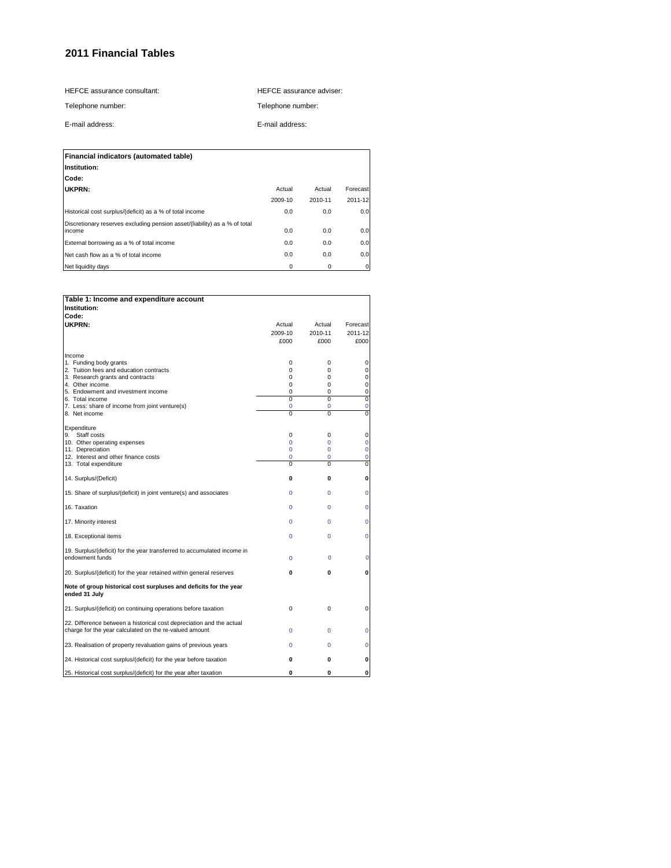HEFCE assurance consultant:

HEFCE assurance adviser:

Telephone number: E-mail address:

Telephone number:

E-mail address:

| Financial indicators (automated table)                                     |         |         |          |
|----------------------------------------------------------------------------|---------|---------|----------|
| Institution:                                                               |         |         |          |
| Code:                                                                      |         |         |          |
| UKPRN:                                                                     | Actual  | Actual  | Forecast |
|                                                                            | 2009-10 | 2010-11 | 2011-12  |
| Historical cost surplus/(deficit) as a % of total income                   | 0.0     | 0.0     | 0.0      |
| Discretionary reserves excluding pension asset/(liability) as a % of total |         |         |          |
| income                                                                     | 0.0     | 0.0     | 0.0      |
| External borrowing as a % of total income                                  | 0.0     | 0.0     | 0.0      |
| Net cash flow as a % of total income                                       | 0.0     | 0.0     | 0.0      |
| Net liquidity days                                                         | 0       | 0       |          |

| Table 1: Income and expenditure account                                                                                        |                |                |                |
|--------------------------------------------------------------------------------------------------------------------------------|----------------|----------------|----------------|
| Institution:                                                                                                                   |                |                |                |
| Code:                                                                                                                          |                |                |                |
| UKPRN:                                                                                                                         | Actual         | Actual         | Forecast       |
|                                                                                                                                | 2009-10        | 2010-11        | 2011-12        |
|                                                                                                                                | £000           | £000           | £000           |
|                                                                                                                                |                |                |                |
| Income                                                                                                                         |                |                |                |
| 1. Funding body grants                                                                                                         | $\mathbf 0$    | 0              | 0              |
| 2. Tuition fees and education contracts                                                                                        | 0              | 0              | 0              |
| 3. Research grants and contracts                                                                                               | $\Omega$       | 0              | 0              |
| 4. Other income                                                                                                                | 0              | 0              | 0              |
| 5. Endowment and investment income                                                                                             | 0              | 0              | 0              |
| 6. Total income                                                                                                                | $\overline{0}$ | $\overline{0}$ | $\overline{0}$ |
| 7. Less: share of income from joint venture(s)                                                                                 | 0              | 0              | $\overline{0}$ |
| 8. Net income                                                                                                                  | 0              | $\Omega$       | 0              |
|                                                                                                                                |                |                |                |
| Expenditure                                                                                                                    |                |                |                |
| Staff costs<br>9.                                                                                                              | $\mathbf 0$    | 0              | 0              |
| 10. Other operating expenses                                                                                                   | 0              | $\Omega$       | 0              |
| 11. Depreciation                                                                                                               | 0              | 0              | 0              |
| 12. Interest and other finance costs                                                                                           | 0              | $\Omega$       | $\overline{0}$ |
| 13. Total expenditure                                                                                                          | $\Omega$       | 0              | 0              |
|                                                                                                                                |                |                |                |
| 14. Surplus/(Deficit)                                                                                                          | 0              | $\mathbf{0}$   | 0              |
| 15. Share of surplus/(deficit) in joint venture(s) and associates                                                              | 0              | $\Omega$       | $\overline{0}$ |
| 16. Taxation                                                                                                                   | 0              | $\Omega$       | $\mathbf 0$    |
| 17. Minority interest                                                                                                          | $\Omega$       | $\Omega$       | 0              |
| 18. Exceptional items                                                                                                          | 0              | $\Omega$       | 0              |
| 19. Surplus/(deficit) for the year transferred to accumulated income in<br>endowment funds                                     | 0              | 0              | 0              |
| 20. Surplus/(deficit) for the year retained within general reserves                                                            | 0              | 0              | 0              |
| Note of group historical cost surpluses and deficits for the year<br>ended 31 July                                             |                |                |                |
| 21. Surplus/(deficit) on continuing operations before taxation                                                                 | $\mathbf 0$    | 0              | 0              |
| 22. Difference between a historical cost depreciation and the actual<br>charge for the year calculated on the re-valued amount | $\Omega$       | $\Omega$       | 0              |
| 23. Realisation of property revaluation gains of previous years                                                                | 0              | 0              | 0              |
| 24. Historical cost surplus/(deficit) for the year before taxation                                                             | 0              | 0              | 0              |
| 25. Historical cost surplus/(deficit) for the year after taxation                                                              | 0              | $\bf{0}$       | 0              |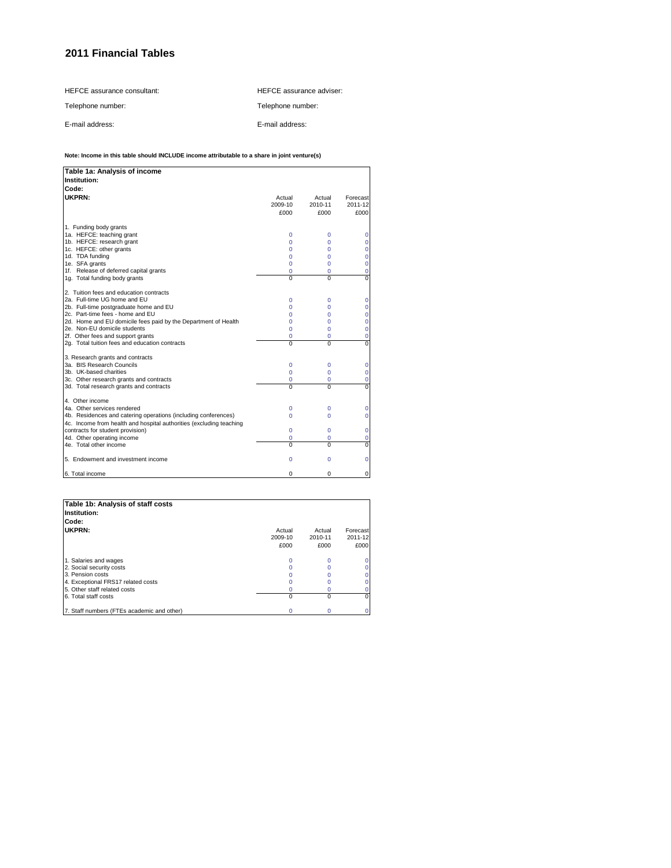HEFCE assurance consultant: Telephone number: E-mail address: HEFCE assurance adviser: Telephone number: E-mail address:

#### **Note: Income in this table should INCLUDE income attributable to a share in joint venture(s)**

| Table 1a: Analysis of income                                                                                                                                                                                                                                                                                                                   |                                                                           |                                                      |                                               |
|------------------------------------------------------------------------------------------------------------------------------------------------------------------------------------------------------------------------------------------------------------------------------------------------------------------------------------------------|---------------------------------------------------------------------------|------------------------------------------------------|-----------------------------------------------|
| Institution:                                                                                                                                                                                                                                                                                                                                   |                                                                           |                                                      |                                               |
| Code:                                                                                                                                                                                                                                                                                                                                          |                                                                           |                                                      |                                               |
| <b>UKPRN:</b>                                                                                                                                                                                                                                                                                                                                  | Actual<br>2009-10<br>£000                                                 | Actual<br>2010-11<br>£000                            | Forecast<br>2011-12<br>£000                   |
| 1. Funding body grants<br>1a. HEFCE: teaching grant<br>1b. HEFCE: research grant<br>1c. HEFCE: other grants<br>1d. TDA funding<br>1e. SFA grants<br>1f. Release of deferred capital grants<br>1g. Total funding body grants                                                                                                                    | $\Omega$<br>$\Omega$<br>$\Omega$<br>$\Omega$<br>0<br>0<br>$\Omega$        | 0<br>$\Omega$<br>0<br>0<br>0<br>0<br>$\Omega$        | 0<br>0<br>0<br>0<br>0<br>0<br>0               |
| 2. Tuition fees and education contracts<br>2a. Full-time UG home and EU<br>2b. Full-time postgraduate home and EU<br>2c. Part-time fees - home and EU<br>2d. Home and EU domicile fees paid by the Department of Health<br>2e. Non-EU domicile students<br>2f. Other fees and support grants<br>2q. Total tuition fees and education contracts | $\Omega$<br>$\Omega$<br>$\Omega$<br>$\Omega$<br>$\Omega$<br>0<br>$\Omega$ | 0<br>$\Omega$<br>0<br>0<br>$\Omega$<br>0<br>$\Omega$ | 0<br>0<br>0<br>0<br>$\Omega$<br>0<br>$\Omega$ |
| 3. Research grants and contracts<br>3a. BIS Research Councils<br>3b. UK-based charities<br>3c. Other research grants and contracts<br>3d. Total research grants and contracts                                                                                                                                                                  | 0<br>$\Omega$<br>0<br>$\Omega$                                            | 0<br>$\Omega$<br>0<br>$\Omega$                       | 0<br>0<br>0<br>0                              |
| 4. Other income<br>4a. Other services rendered<br>4b. Residences and catering operations (including conferences)<br>4c. Income from health and hospital authorities (excluding teaching<br>contracts for student provision)<br>4d. Other operating income<br>4e. Total other income                                                            | 0<br>$\Omega$<br>$\Omega$<br>0<br>$\Omega$                                | 0<br>0<br>0<br>0<br>$\Omega$                         | 0<br>0<br>0<br>0<br>$\mathbf 0$               |
| 5. Endowment and investment income                                                                                                                                                                                                                                                                                                             | $\Omega$                                                                  | 0                                                    | 0                                             |
| 6. Total income                                                                                                                                                                                                                                                                                                                                | $\Omega$                                                                  | 0                                                    | 0                                             |

| Table 1b: Analysis of staff costs<br>Institution: |                           |                           |                             |
|---------------------------------------------------|---------------------------|---------------------------|-----------------------------|
| Code:                                             |                           |                           |                             |
| UKPRN:                                            | Actual<br>2009-10<br>£000 | Actual<br>2010-11<br>£000 | Forecast<br>2011-12<br>£000 |
| 1. Salaries and wages                             |                           |                           |                             |
| 2. Social security costs                          |                           |                           |                             |
| 3. Pension costs                                  |                           |                           |                             |
| 4. Exceptional FRS17 related costs                |                           |                           |                             |
| 5. Other staff related costs                      |                           |                           |                             |
| 6. Total staff costs                              | $\Omega$                  | O                         |                             |
| 7. Staff numbers (FTEs academic and other)        |                           | 0                         |                             |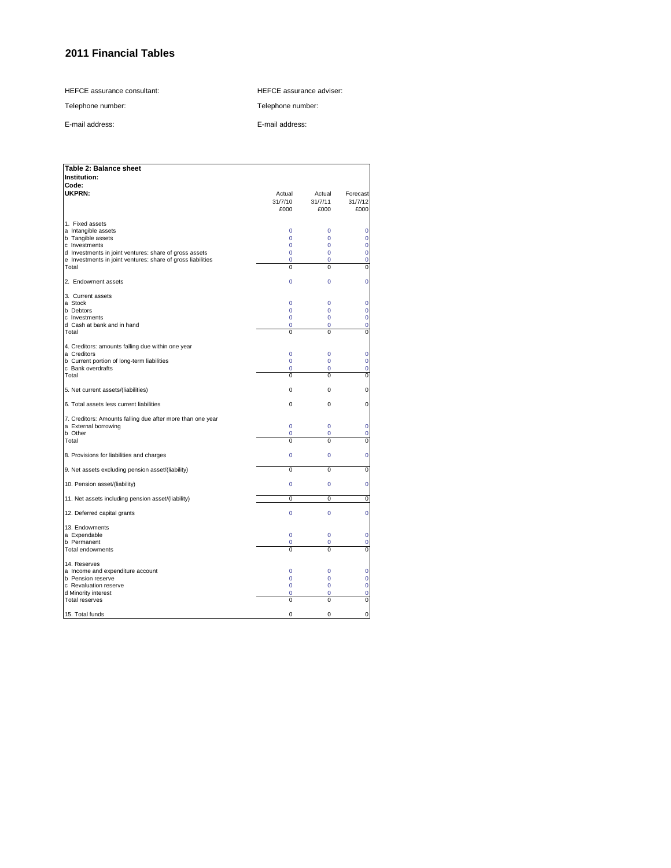HEFCE assurance consultant:

HEFCE assurance adviser:

Telephone number:

E-mail address:

Telephone number:

E-mail address:

| Table 2: Balance sheet                                                                                                                                                                                         |                                                                    |                                                                           |                                                                                 |
|----------------------------------------------------------------------------------------------------------------------------------------------------------------------------------------------------------------|--------------------------------------------------------------------|---------------------------------------------------------------------------|---------------------------------------------------------------------------------|
| Institution:                                                                                                                                                                                                   |                                                                    |                                                                           |                                                                                 |
| Code:<br>UKPRN:                                                                                                                                                                                                | Actual<br>31/7/10<br>£000                                          | Actual<br>31/7/11<br>£000                                                 | Forecast<br>31/7/12<br>£000                                                     |
| 1. Fixed assets<br>a Intangible assets<br>b Tangible assets<br>c Investments<br>d Investments in joint ventures: share of gross assets<br>e Investments in joint ventures: share of gross liabilities<br>Total | 0<br>$\overline{0}$<br>$\Omega$<br>0<br>$\overline{0}$<br>$\Omega$ | 0<br>$\mathbf 0$<br>$\Omega$<br>$\mathbf 0$<br>$\overline{0}$<br>$\Omega$ | 0<br>$\mathbf 0$<br>$\mathbf 0$<br>$\overline{0}$<br>$\mathbf 0$<br>$\mathbf 0$ |
| 2. Endowment assets                                                                                                                                                                                            | $\overline{0}$                                                     | $\mathbf 0$                                                               | $\mathbf 0$                                                                     |
| 3. Current assets<br>a Stock<br>b Debtors<br>c Investments<br>d Cash at bank and in hand<br>Total                                                                                                              | $\overline{0}$<br>0<br>$\overline{0}$<br>0<br>0                    | $\Omega$<br>0<br>$\mathbf 0$<br>$\mathbf 0$<br>0                          | 0<br>0<br>$\mathbf 0$<br>0<br>$\mathbf 0$                                       |
| 4. Creditors: amounts falling due within one year<br>a Creditors<br>b Current portion of long-term liabilities<br>c Bank overdrafts<br>Total                                                                   | $\overline{0}$<br>$\overline{0}$<br>0<br>$\overline{0}$            | $\mathbf 0$<br>$\mathbf 0$<br>0<br>$\overline{0}$                         | $\mathbf 0$<br>$\mathbf 0$<br>$\mathbf 0$<br>$\overline{0}$                     |
| 5. Net current assets/(liabilities)                                                                                                                                                                            | 0                                                                  | 0                                                                         | 0                                                                               |
| 6. Total assets less current liabilities                                                                                                                                                                       | 0                                                                  | 0                                                                         | $\mathbf 0$                                                                     |
| 7. Creditors: Amounts falling due after more than one year<br>a External borrowing<br>b Other<br>Total                                                                                                         | $\overline{0}$<br>0<br>$\Omega$                                    | $\Omega$<br>0<br>$\Omega$                                                 | $\overline{0}$<br>$\overline{0}$<br>$\mathbf{0}$                                |
| 8. Provisions for liabilities and charges                                                                                                                                                                      | $\overline{0}$                                                     | $\mathbf 0$                                                               | $\mathbf 0$                                                                     |
| 9. Net assets excluding pension asset/(liability)                                                                                                                                                              | Ō                                                                  | $\overline{0}$                                                            | $\overline{0}$                                                                  |
| 10. Pension asset/(liability)                                                                                                                                                                                  | $\Omega$                                                           | $\Omega$                                                                  | $\mathbf 0$                                                                     |
| 11. Net assets including pension asset/(liability)                                                                                                                                                             | 0                                                                  | 0                                                                         | 0                                                                               |
| 12. Deferred capital grants                                                                                                                                                                                    | $\overline{0}$                                                     | $\mathbf 0$                                                               | $\overline{0}$                                                                  |
| 13. Endowments<br>a Expendable<br>b Permanent<br><b>Total endowments</b>                                                                                                                                       | $\overline{0}$<br>0<br>0                                           | $\mathbf 0$<br>$\mathbf 0$<br>0                                           | $\mathbf 0$<br>$\mathbf 0$<br>0                                                 |
| 14. Reserves<br>a Income and expenditure account<br><b>b</b> Pension reserve<br>c Revaluation reserve<br>d Minority interest<br><b>Total reserves</b>                                                          | 0<br>$\Omega$<br>0<br>0<br>0                                       | $\mathbf 0$<br>$\Omega$<br>$\mathbf 0$<br>0<br>0                          | 0<br>$\mathbf 0$<br>$\overline{0}$<br>$\mathbf 0$<br>$\overline{0}$             |
| 15. Total funds                                                                                                                                                                                                | 0                                                                  | 0                                                                         | $\mathbf 0$                                                                     |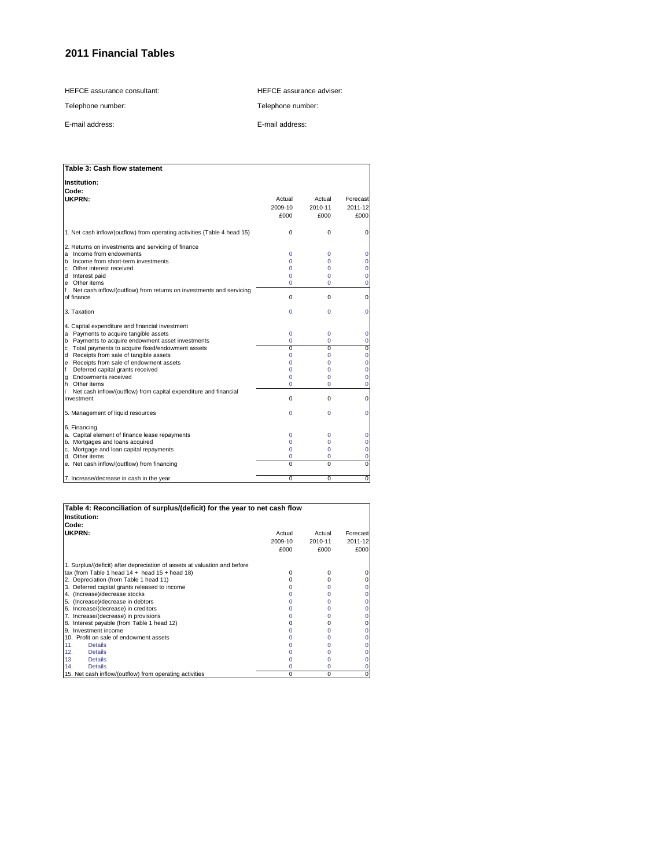HEFCE assurance consultant:

HEFCE assurance adviser:

Telephone number: E-mail address:

Telephone number:

E-mail address:

| Table 3: Cash flow statement                                             |          |          |          |
|--------------------------------------------------------------------------|----------|----------|----------|
| Institution:                                                             |          |          |          |
| Code:                                                                    |          |          |          |
| UKPRN:                                                                   | Actual   | Actual   | Forecast |
|                                                                          | 2009-10  | 2010-11  | 2011-12  |
|                                                                          | £000     | £000     | £000     |
|                                                                          |          |          |          |
| 1. Net cash inflow/(outflow) from operating activities (Table 4 head 15) | $\Omega$ | 0        | $\Omega$ |
| 2. Returns on investments and servicing of finance                       |          |          |          |
| Income from endowments<br>a                                              | $\Omega$ | 0        | 0        |
| b Income from short-term investments                                     | 0        | 0        | 0        |
| c Other interest received                                                | 0        | 0        | 0        |
| d Interest paid                                                          | 0        | 0        | 0        |
| e Other items                                                            | 0        | 0        | 0        |
| Net cash inflow/(outflow) from returns on investments and servicing<br>f |          |          |          |
| of finance                                                               | $\Omega$ | 0        | $\Omega$ |
| 3. Taxation                                                              | Ō        | $\Omega$ | 0        |
| 4. Capital expenditure and financial investment                          |          |          |          |
| a Payments to acquire tangible assets                                    | 0        | 0        | 0        |
| b Payments to acquire endowment asset investments                        | 0        | 0        | 0        |
| c Total payments to acquire fixed/endowment assets                       | $\Omega$ | 0        | 0        |
| d Receipts from sale of tangible assets                                  | Ō        | 0        | 0        |
| e Receipts from sale of endowment assets                                 | Ō        | 0        | 0        |
| Deferred capital grants received<br>f                                    | Ō        | 0        | 0        |
| Endowments received<br>g                                                 | 0        | 0        | 0        |
| h Other items                                                            | Ō        | 0        | 0        |
| Net cash inflow/(outflow) from capital expenditure and financial<br>li.  |          |          |          |
| investment                                                               | $\Omega$ | 0        | 0        |
| 5. Management of liquid resources                                        | Ō        | $\Omega$ | 0        |
| 6. Financing                                                             |          |          |          |
| a. Capital element of finance lease repayments                           | 0        | 0        | 0        |
| b. Mortgages and loans acquired                                          | 0        | 0        | 0        |
| c. Mortgage and loan capital repayments                                  | 0        | 0        | 0        |
| d. Other items                                                           | 0        | 0        | 0        |
| e. Net cash inflow/(outflow) from financing                              | $\Omega$ | $\Omega$ | $\Omega$ |
| 7. Increase/decrease in cash in the year                                 | $\Omega$ | $\Omega$ | 0        |

| Table 4: Reconciliation of surplus/(deficit) for the year to net cash flow<br>Institution: |              |          |          |
|--------------------------------------------------------------------------------------------|--------------|----------|----------|
| Code:                                                                                      |              |          |          |
| UKPRN:                                                                                     | Actual       | Actual   | Forecast |
|                                                                                            | 2009-10      | 2010-11  | 2011-12  |
|                                                                                            | £000         | £000     | £000     |
| 1. Surplus/(deficit) after depreciation of assets at valuation and before                  |              |          |          |
| tax (from Table 1 head $14 +$ head $15 +$ head $18$ )                                      | <sup>0</sup> | O        |          |
| 2. Depreciation (from Table 1 head 11)                                                     |              | n        |          |
| 3. Deferred capital grants released to income                                              |              |          |          |
| 4. (Increase)/decrease stocks                                                              |              |          |          |
| 5. (Increase)/decrease in debtors                                                          |              | O        |          |
| 6. Increase/(decrease) in creditors                                                        |              |          |          |
| 7. Increase/(decrease) in provisions                                                       |              |          |          |
| 8. Interest payable (from Table 1 head 12)                                                 |              |          |          |
| 9. Investment income                                                                       |              |          |          |
| 10. Profit on sale of endowment assets                                                     |              |          |          |
| 11.<br><b>Details</b>                                                                      |              |          |          |
| 12.<br><b>Details</b>                                                                      |              |          |          |
| 13.<br><b>Details</b>                                                                      |              |          |          |
| 14.<br><b>Details</b>                                                                      |              |          |          |
| 15. Net cash inflow/(outflow) from operating activities                                    | 0            | $\Omega$ |          |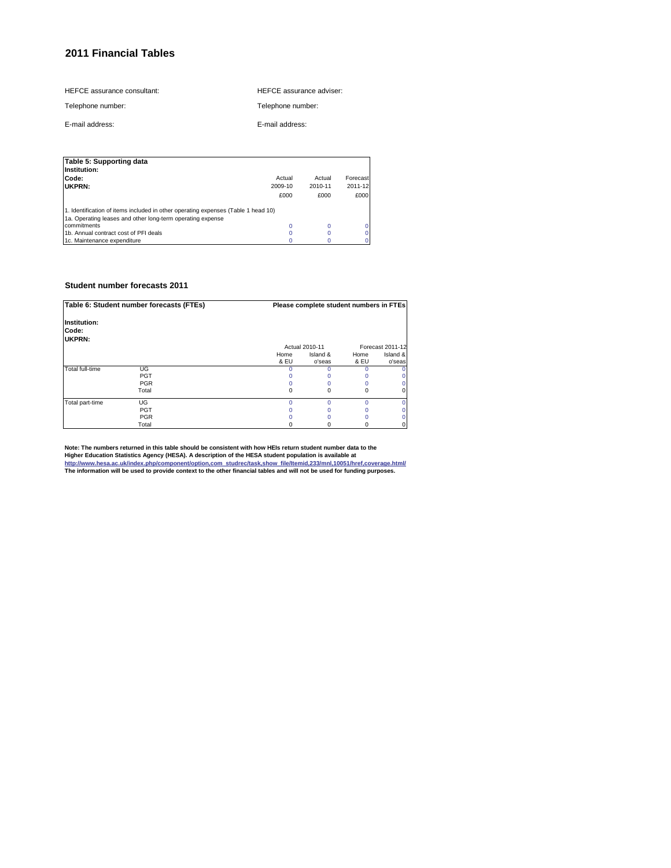| HEFCE assurance consultant: | HEFCE assurance adviser: |
|-----------------------------|--------------------------|
|                             |                          |

Telephone number:

Telephone number: E-mail address:

E-mail address:

| Table 5: Supporting data<br>Institution:                                          |         |         |          |
|-----------------------------------------------------------------------------------|---------|---------|----------|
| Code:                                                                             | Actual  | Actual  | Forecast |
| UKPRN:                                                                            | 2009-10 | 2010-11 | 2011-12  |
|                                                                                   | £000    | £000    | £000     |
| 1. Identification of items included in other operating expenses (Table 1 head 10) |         |         |          |
| 1a. Operating leases and other long-term operating expense                        |         |         |          |
| commitments                                                                       | 0       | 0       |          |
| 1b. Annual contract cost of PFI deals                                             |         |         |          |
| 1c. Maintenance expenditure                                                       |         |         |          |

### **Student number forecasts 2011**

| Table 6: Student number forecasts (FTEs) |            |              | Please complete student numbers in FTEs |              |                    |
|------------------------------------------|------------|--------------|-----------------------------------------|--------------|--------------------|
| Institution:<br>Code:<br>UKPRN:          |            |              |                                         |              |                    |
|                                          |            |              | Actual 2010-11                          |              | Forecast 2011-12   |
|                                          |            | Home<br>& EU | Island &<br>o'seas                      | Home<br>& EU | Island &<br>o'seas |
| Total full-time                          | UG         |              |                                         |              |                    |
|                                          | <b>PGT</b> |              |                                         |              |                    |
|                                          | <b>PGR</b> |              |                                         |              |                    |
|                                          | Total      |              | O                                       | n            |                    |
| Total part-time                          | UG         |              | n                                       | n            |                    |
|                                          | <b>PGT</b> |              |                                         |              |                    |
|                                          | <b>PGR</b> |              |                                         |              |                    |
|                                          | Total      |              |                                         |              |                    |

Note: The numbers returned in this table should be consistent with how HEIs return student number data to the<br>Higher Education Statistics Agency (HESA). A description of the HESA student population is available at<br>http://w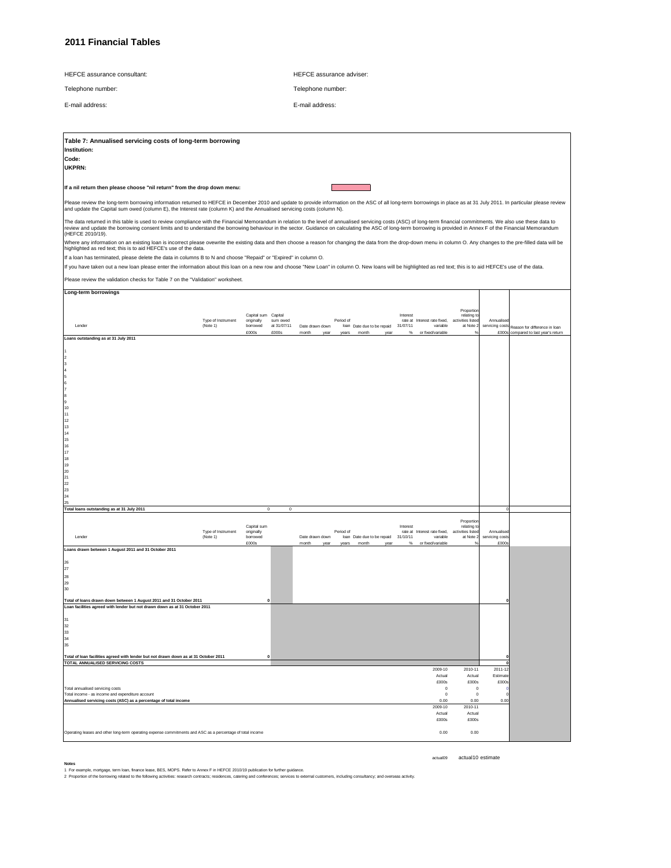|  |  | <b>HEFCE</b> assurance consultant: |
|--|--|------------------------------------|
|--|--|------------------------------------|

Telephone number:

E-mail address:

Telephone number: E-mail address:

HEFCE assurance adviser:

| Table 7: Annualised servicing costs of long-term borrowing                                                                                                                                                                                                                                                                                                                                                                                 |                                |                                   |                        |                 |           |                            |          |                                          |                                  |                               |                                      |
|--------------------------------------------------------------------------------------------------------------------------------------------------------------------------------------------------------------------------------------------------------------------------------------------------------------------------------------------------------------------------------------------------------------------------------------------|--------------------------------|-----------------------------------|------------------------|-----------------|-----------|----------------------------|----------|------------------------------------------|----------------------------------|-------------------------------|--------------------------------------|
| Institution:                                                                                                                                                                                                                                                                                                                                                                                                                               |                                |                                   |                        |                 |           |                            |          |                                          |                                  |                               |                                      |
| Code:                                                                                                                                                                                                                                                                                                                                                                                                                                      |                                |                                   |                        |                 |           |                            |          |                                          |                                  |                               |                                      |
| UKPRN:                                                                                                                                                                                                                                                                                                                                                                                                                                     |                                |                                   |                        |                 |           |                            |          |                                          |                                  |                               |                                      |
|                                                                                                                                                                                                                                                                                                                                                                                                                                            |                                |                                   |                        |                 |           |                            |          |                                          |                                  |                               |                                      |
| If a nil return then please choose "nil return" from the drop down menu:                                                                                                                                                                                                                                                                                                                                                                   |                                |                                   |                        |                 |           |                            |          |                                          |                                  |                               |                                      |
|                                                                                                                                                                                                                                                                                                                                                                                                                                            |                                |                                   |                        |                 |           |                            |          |                                          |                                  |                               |                                      |
| Please review the long-term borrowing information returned to HEFCE in December 2010 and update to provide information on the ASC of all long-term borrowings in place as at 31 July 2011. In particular please review<br>and update the Capital sum owed (column E), the Interest rate (column K) and the Annualised servicing costs (column N).                                                                                          |                                |                                   |                        |                 |           |                            |          |                                          |                                  |                               |                                      |
|                                                                                                                                                                                                                                                                                                                                                                                                                                            |                                |                                   |                        |                 |           |                            |          |                                          |                                  |                               |                                      |
| The data returned in this table is used to review compliance with the Financial Memorandum in relation to the level of annualised servicing costs (ASC) of long-term financial commitments. We also use these data to<br>review and update the borrowing consent limits and to understand the borrowing behaviour in the sector. Guidance on calculating the ASC of long-term borrowing is provided in Annex F of the Financial Memorandum |                                |                                   |                        |                 |           |                            |          |                                          |                                  |                               |                                      |
| (HEFCE 2010/19).                                                                                                                                                                                                                                                                                                                                                                                                                           |                                |                                   |                        |                 |           |                            |          |                                          |                                  |                               |                                      |
| Where any information on an existing loan is incorrect please ovewrite the existing data and then choose a reason for changing the data from the drop-down menu in column O. Any changes to the pre-filled data will be                                                                                                                                                                                                                    |                                |                                   |                        |                 |           |                            |          |                                          |                                  |                               |                                      |
| highlighted as red text; this is to aid HEFCE's use of the data.                                                                                                                                                                                                                                                                                                                                                                           |                                |                                   |                        |                 |           |                            |          |                                          |                                  |                               |                                      |
| If a loan has terminated, please delete the data in columns B to N and choose "Repaid" or "Expired" in column O.                                                                                                                                                                                                                                                                                                                           |                                |                                   |                        |                 |           |                            |          |                                          |                                  |                               |                                      |
| If you have taken out a new loan please enter the information about this loan on a new row and choose "New Loan" in column O. New loans will be highlighted as red text; this is to aid HEFCE's use of the data.                                                                                                                                                                                                                           |                                |                                   |                        |                 |           |                            |          |                                          |                                  |                               |                                      |
| Please review the validation checks for Table 7 on the "Validation" worksheet.                                                                                                                                                                                                                                                                                                                                                             |                                |                                   |                        |                 |           |                            |          |                                          |                                  |                               |                                      |
| Long-term borrowings                                                                                                                                                                                                                                                                                                                                                                                                                       |                                |                                   |                        |                 |           |                            |          |                                          |                                  |                               |                                      |
|                                                                                                                                                                                                                                                                                                                                                                                                                                            |                                |                                   |                        |                 |           |                            |          |                                          |                                  |                               |                                      |
|                                                                                                                                                                                                                                                                                                                                                                                                                                            |                                |                                   |                        |                 |           |                            |          |                                          | Proportion                       |                               |                                      |
|                                                                                                                                                                                                                                                                                                                                                                                                                                            | Type of Instrument             | Capital sum Capital<br>originally | sum owed               |                 | Period of |                            | Interest | rate at Interest rate fixed,             | relating to<br>activities listed | Annualised                    |                                      |
| Lender                                                                                                                                                                                                                                                                                                                                                                                                                                     | (Note 1)                       | borrowed                          | at 31/07/11            | Date drawn down |           | loan Date due to be repaid | 31/07/11 | variable                                 | at Note 2                        | servicing costs               | Reason for difference in Ioan        |
| Loans outstanding as at 31 July 2011                                                                                                                                                                                                                                                                                                                                                                                                       |                                | £000s                             | £000s                  | month<br>year   | years     | $\mathsf{month}$<br>year   | $\%$     | or fixed/variable                        | $\frac{1}{2}$                    |                               | £000s compared to last year's return |
|                                                                                                                                                                                                                                                                                                                                                                                                                                            |                                |                                   |                        |                 |           |                            |          |                                          |                                  |                               |                                      |
|                                                                                                                                                                                                                                                                                                                                                                                                                                            |                                |                                   |                        |                 |           |                            |          |                                          |                                  |                               |                                      |
| 3                                                                                                                                                                                                                                                                                                                                                                                                                                          |                                |                                   |                        |                 |           |                            |          |                                          |                                  |                               |                                      |
| $\overline{\bf{4}}$<br>5                                                                                                                                                                                                                                                                                                                                                                                                                   |                                |                                   |                        |                 |           |                            |          |                                          |                                  |                               |                                      |
| 6                                                                                                                                                                                                                                                                                                                                                                                                                                          |                                |                                   |                        |                 |           |                            |          |                                          |                                  |                               |                                      |
| 7<br>8                                                                                                                                                                                                                                                                                                                                                                                                                                     |                                |                                   |                        |                 |           |                            |          |                                          |                                  |                               |                                      |
| 9                                                                                                                                                                                                                                                                                                                                                                                                                                          |                                |                                   |                        |                 |           |                            |          |                                          |                                  |                               |                                      |
| 10<br>11                                                                                                                                                                                                                                                                                                                                                                                                                                   |                                |                                   |                        |                 |           |                            |          |                                          |                                  |                               |                                      |
| 12                                                                                                                                                                                                                                                                                                                                                                                                                                         |                                |                                   |                        |                 |           |                            |          |                                          |                                  |                               |                                      |
| 13<br>14                                                                                                                                                                                                                                                                                                                                                                                                                                   |                                |                                   |                        |                 |           |                            |          |                                          |                                  |                               |                                      |
| 15                                                                                                                                                                                                                                                                                                                                                                                                                                         |                                |                                   |                        |                 |           |                            |          |                                          |                                  |                               |                                      |
| 16<br>$17\,$                                                                                                                                                                                                                                                                                                                                                                                                                               |                                |                                   |                        |                 |           |                            |          |                                          |                                  |                               |                                      |
| 18                                                                                                                                                                                                                                                                                                                                                                                                                                         |                                |                                   |                        |                 |           |                            |          |                                          |                                  |                               |                                      |
| 19<br>20                                                                                                                                                                                                                                                                                                                                                                                                                                   |                                |                                   |                        |                 |           |                            |          |                                          |                                  |                               |                                      |
| 21                                                                                                                                                                                                                                                                                                                                                                                                                                         |                                |                                   |                        |                 |           |                            |          |                                          |                                  |                               |                                      |
| 22<br>23                                                                                                                                                                                                                                                                                                                                                                                                                                   |                                |                                   |                        |                 |           |                            |          |                                          |                                  |                               |                                      |
| 24                                                                                                                                                                                                                                                                                                                                                                                                                                         |                                |                                   |                        |                 |           |                            |          |                                          |                                  |                               |                                      |
| 25<br>Total loans outstanding as at 31 July 2011                                                                                                                                                                                                                                                                                                                                                                                           |                                |                                   | $\circ$<br>$\mathbf 0$ |                 |           |                            |          |                                          |                                  | $\Omega$                      |                                      |
|                                                                                                                                                                                                                                                                                                                                                                                                                                            |                                |                                   |                        |                 |           |                            |          |                                          |                                  |                               |                                      |
|                                                                                                                                                                                                                                                                                                                                                                                                                                            |                                | Capital sum                       |                        |                 |           |                            | Interest |                                          | Proportion<br>relating to        |                               |                                      |
| Lender                                                                                                                                                                                                                                                                                                                                                                                                                                     | Type of Instrument<br>(Note 1) | originally<br>borrowed            |                        | Date drawn down | Period of | loan Date due to be repaid | 31/10/11 | rate at Interest rate fixed,<br>variable | activities listed<br>at Note 2   | Annualised<br>servicing costs |                                      |
|                                                                                                                                                                                                                                                                                                                                                                                                                                            |                                | £000s                             |                        | month<br>year   | years     | month<br>year              | %        | or fixed/variable                        |                                  | £000s                         |                                      |
| Loans drawn between 1 August 2011 and 31 October 2011                                                                                                                                                                                                                                                                                                                                                                                      |                                |                                   |                        |                 |           |                            |          |                                          |                                  |                               |                                      |
| 26                                                                                                                                                                                                                                                                                                                                                                                                                                         |                                |                                   |                        |                 |           |                            |          |                                          |                                  |                               |                                      |
| 27<br>28                                                                                                                                                                                                                                                                                                                                                                                                                                   |                                |                                   |                        |                 |           |                            |          |                                          |                                  |                               |                                      |
| 29                                                                                                                                                                                                                                                                                                                                                                                                                                         |                                |                                   |                        |                 |           |                            |          |                                          |                                  |                               |                                      |
| 30                                                                                                                                                                                                                                                                                                                                                                                                                                         |                                |                                   |                        |                 |           |                            |          |                                          |                                  |                               |                                      |
| Total of loans drawn down between 1 August 2011 and 31 October 2011                                                                                                                                                                                                                                                                                                                                                                        |                                |                                   |                        |                 |           |                            |          |                                          |                                  |                               |                                      |
| Loan facilities agreed with lender but not drawn down as at 31 October 2011                                                                                                                                                                                                                                                                                                                                                                |                                |                                   |                        |                 |           |                            |          |                                          |                                  |                               |                                      |
|                                                                                                                                                                                                                                                                                                                                                                                                                                            |                                |                                   |                        |                 |           |                            |          |                                          |                                  |                               |                                      |
| 32<br>33                                                                                                                                                                                                                                                                                                                                                                                                                                   |                                |                                   |                        |                 |           |                            |          |                                          |                                  |                               |                                      |
| 34                                                                                                                                                                                                                                                                                                                                                                                                                                         |                                |                                   |                        |                 |           |                            |          |                                          |                                  |                               |                                      |
| 35                                                                                                                                                                                                                                                                                                                                                                                                                                         |                                |                                   |                        |                 |           |                            |          |                                          |                                  |                               |                                      |
| Total of loan facilities agreed with lender but not drawn down as at 31 October 2011                                                                                                                                                                                                                                                                                                                                                       |                                |                                   | $\Omega$               |                 |           |                            |          |                                          |                                  |                               |                                      |
| TOTAL ANNUALISED SERVICING COSTS                                                                                                                                                                                                                                                                                                                                                                                                           |                                |                                   |                        |                 |           |                            |          | 2009-10                                  | 2010-11                          | 2011-12                       |                                      |
|                                                                                                                                                                                                                                                                                                                                                                                                                                            |                                |                                   |                        |                 |           |                            |          | Actual                                   | Actual                           | Estimate                      |                                      |
| Total annualised servicing costs                                                                                                                                                                                                                                                                                                                                                                                                           |                                |                                   |                        |                 |           |                            |          | £000s<br>$^{\circ}$                      | £000s<br>$^{\circ}$              | £000s                         |                                      |
| Total income - as income and expenditure account                                                                                                                                                                                                                                                                                                                                                                                           |                                |                                   |                        |                 |           |                            |          | $\mathbf{0}$                             | $^{\circ}$                       |                               |                                      |
| Annualised servicing costs (ASC) as a percentage of total income                                                                                                                                                                                                                                                                                                                                                                           |                                |                                   |                        |                 |           |                            |          | 0.00<br>2009-10                          | 0.00<br>2010-11                  | 0.00                          |                                      |
|                                                                                                                                                                                                                                                                                                                                                                                                                                            |                                |                                   |                        |                 |           |                            |          | Actual                                   | Actual                           |                               |                                      |
|                                                                                                                                                                                                                                                                                                                                                                                                                                            |                                |                                   |                        |                 |           |                            |          | £000s                                    | £000s                            |                               |                                      |
| Operating leases and other long-term operating expense commitments and ASC as a percentage of total income                                                                                                                                                                                                                                                                                                                                 |                                |                                   |                        |                 |           |                            |          | 0.00                                     | 0.00                             |                               |                                      |

actual09 actual10 estimate

Notes<br>1 For example, mortgage, term Ioan, finance lease, BES, MOPS. Refer to Annex F in HEFCE 2010/19 publication for further guidance.<br>2 Proportion of the borrowing related to the following activities: research contracts;